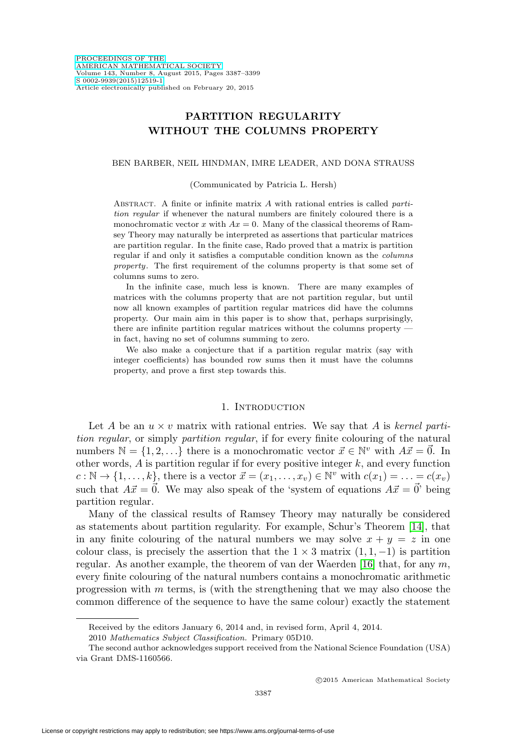# **PARTITION REGULARITY WITHOUT THE COLUMNS PROPERTY**

### BEN BARBER, NEIL HINDMAN, IMRE LEADER, AND DONA STRAUSS

#### (Communicated by Patricia L. Hersh)

ABSTRACT. A finite or infinite matrix  $A$  with rational entries is called partition regular if whenever the natural numbers are finitely coloured there is a monochromatic vector x with  $Ax = 0$ . Many of the classical theorems of Ramsey Theory may naturally be interpreted as assertions that particular matrices are partition regular. In the finite case, Rado proved that a matrix is partition regular if and only it satisfies a computable condition known as the columns property. The first requirement of the columns property is that some set of columns sums to zero.

In the infinite case, much less is known. There are many examples of matrices with the columns property that are not partition regular, but until now all known examples of partition regular matrices did have the columns property. Our main aim in this paper is to show that, perhaps surprisingly, there are infinite partition regular matrices without the columns property in fact, having no set of columns summing to zero.

We also make a conjecture that if a partition regular matrix (say with integer coefficients) has bounded row sums then it must have the columns property, and prove a first step towards this.

## 1. INTRODUCTION

Let A be an  $u \times v$  matrix with rational entries. We say that A is kernel partition regular, or simply partition regular, if for every finite colouring of the natural numbers  $\mathbb{N} = \{1, 2, ...\}$  there is a monochromatic vector  $\vec{x} \in \mathbb{N}^v$  with  $A\vec{x} = \vec{0}$ . In other words,  $A$  is partition regular if for every positive integer  $k$ , and every function  $c: \mathbb{N} \to \{1,\ldots,k\}$ , there is a vector  $\vec{x} = (x_1,\ldots,x_v) \in \mathbb{N}^v$  with  $c(x_1) = \ldots = c(x_v)$ such that  $A\vec{x} = \vec{0}$ . We may also speak of the 'system of equations  $A\vec{x} = \vec{0}$ ' being partition regular.

Many of the classical results of Ramsey Theory may naturally be considered as statements about partition regularity. For example, Schur's Theorem [\[14\]](#page-12-0), that in any finite colouring of the natural numbers we may solve  $x + y = z$  in one colour class, is precisely the assertion that the  $1 \times 3$  matrix  $(1, 1, -1)$  is partition regular. As another example, the theorem of van der Waerden [\[16\]](#page-12-1) that, for any  $m$ , every finite colouring of the natural numbers contains a monochromatic arithmetic progression with  $m$  terms, is (with the strengthening that we may also choose the common difference of the sequence to have the same colour) exactly the statement

Received by the editors January 6, 2014 and, in revised form, April 4, 2014.

<sup>2010</sup> Mathematics Subject Classification. Primary 05D10.

The second author acknowledges support received from the National Science Foundation (USA) via Grant DMS-1160566.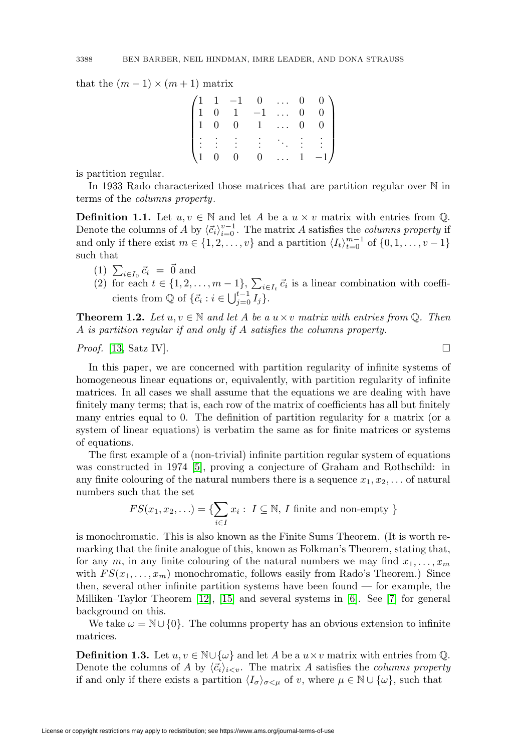that the  $(m-1) \times (m+1)$  matrix

|  |  |  | $\begin{pmatrix} 1 & 1 & -1 & 0 & \ldots & 0 & 0 \\ 1 & 0 & 1 & -1 & \ldots & 0 & 0 \\ 1 & 0 & 0 & 1 & \ldots & 0 & 0 \end{pmatrix}$ |
|--|--|--|--------------------------------------------------------------------------------------------------------------------------------------|
|  |  |  | $\begin{pmatrix} \vdots & \vdots & \vdots & \vdots & \ddots & \vdots \\ 1 & 0 & 0 & 0 & \dots & 1 & -1 \end{pmatrix}$                |
|  |  |  |                                                                                                                                      |

is partition regular.

In 1933 Rado characterized those matrices that are partition regular over N in terms of the columns property.

**Definition 1.1.** Let  $u, v \in \mathbb{N}$  and let A be a  $u \times v$  matrix with entries from  $\mathbb{Q}$ . Denote the columns of A by  $\langle \vec{c}_i \rangle_{i=0}^{v-1}$ . The matrix A satisfies the *columns property* if and only if there exist  $m \in \{1, 2, \ldots, v\}$  and a partition  $\langle I_t \rangle_{t=0}^{m-1}$  of  $\{0, 1, \ldots, v-1\}$ such that

- (1)  $\sum_{i\in I_0} \vec{c}_i = \vec{0}$  and
- (2) for each  $t \in \{1, 2, ..., m-1\}$ ,  $\sum_{i \in I_t} \vec{c}_i$  is a linear combination with coefficients from  $\mathbb Q$  of  $\{\vec{c}_i : i \in \bigcup_{j=0}^{t-1} I_j\}.$

**Theorem 1.2.** Let  $u, v \in \mathbb{N}$  and let A be a  $u \times v$  matrix with entries from Q. Then A is partition regular if and only if A satisfies the columns property.

*Proof.* [\[13,](#page-12-2) Satz IV].

In this paper, we are concerned with partition regularity of infinite systems of homogeneous linear equations or, equivalently, with partition regularity of infinite matrices. In all cases we shall assume that the equations we are dealing with have finitely many terms; that is, each row of the matrix of coefficients has all but finitely many entries equal to 0. The definition of partition regularity for a matrix (or a system of linear equations) is verbatim the same as for finite matrices or systems of equations.

The first example of a (non-trivial) infinite partition regular system of equations was constructed in 1974 [\[5\]](#page-12-3), proving a conjecture of Graham and Rothschild: in any finite colouring of the natural numbers there is a sequence  $x_1, x_2, \ldots$  of natural numbers such that the set

$$
FS(x_1, x_2, \ldots) = \{ \sum_{i \in I} x_i : I \subseteq \mathbb{N}, I \text{ finite and non-empty } \}
$$

is monochromatic. This is also known as the Finite Sums Theorem. (It is worth remarking that the finite analogue of this, known as Folkman's Theorem, stating that, for any m, in any finite colouring of the natural numbers we may find  $x_1, \ldots, x_m$ with  $FS(x_1,\ldots,x_m)$  monochromatic, follows easily from Rado's Theorem.) Since then, several other infinite partition systems have been found — for example, the Milliken–Taylor Theorem [\[12\]](#page-12-4), [\[15\]](#page-12-5) and several systems in [\[6\]](#page-12-6). See [\[7\]](#page-12-7) for general background on this.

We take  $\omega = \mathbb{N} \cup \{0\}$ . The columns property has an obvious extension to infinite matrices.

**Definition 1.3.** Let  $u, v \in \mathbb{N} \cup \{\omega\}$  and let A be a  $u \times v$  matrix with entries from Q. Denote the columns of A by  $\langle \vec{c}_i \rangle_{i \leq v}$ . The matrix A satisfies the *columns property* if and only if there exists a partition  $\langle I_{\sigma}\rangle_{\sigma\leq\mu}$  of v, where  $\mu\in\mathbb{N}\cup\{\omega\}$ , such that

 $\Box$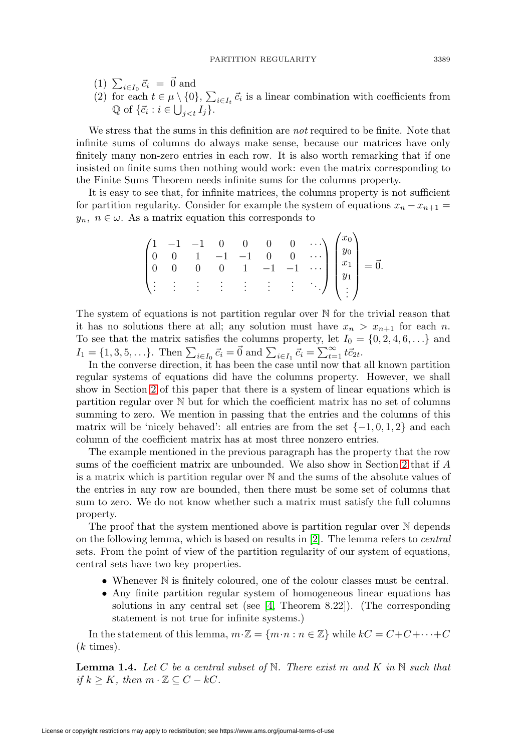- (1)  $\sum_{i\in I_0} \vec{c}_i = \vec{0}$  and
- (2) for each  $t \in \mu \setminus \{0\}$ ,  $\sum_{i \in I_t} \vec{c}_i$  is a linear combination with coefficients from  $\mathbb{Q}$  of  $\{\vec{c}_i : i \in \bigcup_{j < t} I_j\}.$

We stress that the sums in this definition are not required to be finite. Note that infinite sums of columns do always make sense, because our matrices have only finitely many non-zero entries in each row. It is also worth remarking that if one insisted on finite sums then nothing would work: even the matrix corresponding to the Finite Sums Theorem needs infinite sums for the columns property.

It is easy to see that, for infinite matrices, the columns property is not sufficient for partition regularity. Consider for example the system of equations  $x_n - x_{n+1} =$  $y_n, n \in \omega$ . As a matrix equation this corresponds to

$$
\begin{pmatrix}\n1 & -1 & -1 & 0 & 0 & 0 & 0 & \cdots \\
0 & 0 & 1 & -1 & -1 & 0 & 0 & \cdots \\
0 & 0 & 0 & 0 & 1 & -1 & -1 & \cdots \\
\vdots & \vdots & \vdots & \vdots & \vdots & \vdots & \vdots\n\end{pmatrix}\n\begin{pmatrix}\nx_0 \\
y_0 \\
x_1 \\
y_1 \\
\vdots\n\end{pmatrix} = \vec{0}.
$$

The system of equations is not partition regular over  $\mathbb N$  for the trivial reason that it has no solutions there at all; any solution must have  $x_n > x_{n+1}$  for each n. To see that the matrix satisfies the columns property, let  $I_0 = \{0, 2, 4, 6, \ldots\}$  and  $I_1 = \{1, 3, 5, \ldots\}$ . Then  $\sum_{i \in I_0} \vec{c}_i = \vec{0}$  and  $\sum_{i \in I_1} \vec{c}_i = \sum_{t=1}^{\infty} t \vec{c}_{2t}$ .

In the converse direction, it has been the case until now that all known partition regular systems of equations did have the columns property. However, we shall show in Section [2](#page-3-0) of this paper that there is a system of linear equations which is partition regular over N but for which the coefficient matrix has no set of columns summing to zero. We mention in passing that the entries and the columns of this matrix will be 'nicely behaved': all entries are from the set  $\{-1,0,1,2\}$  and each column of the coefficient matrix has at most three nonzero entries.

The example mentioned in the previous paragraph has the property that the row sums of the coefficient matrix are unbounded. We also show in Section [2](#page-3-0) that if A is a matrix which is partition regular over N and the sums of the absolute values of the entries in any row are bounded, then there must be some set of columns that sum to zero. We do not know whether such a matrix must satisfy the full columns property.

The proof that the system mentioned above is partition regular over N depends on the following lemma, which is based on results in [\[2\]](#page-11-0). The lemma refers to central sets. From the point of view of the partition regularity of our system of equations, central sets have two key properties.

- Whenever  $\mathbb N$  is finitely coloured, one of the colour classes must be central.
- Any finite partition regular system of homogeneous linear equations has solutions in any central set (see [\[4,](#page-12-8) Theorem 8.22]). (The corresponding statement is not true for infinite systems.)

In the statement of this lemma,  $m \cdot \mathbb{Z} = \{m \cdot n : n \in \mathbb{Z}\}$  while  $kC = C + C + \cdots + C$  $(k \times)$ .

<span id="page-2-0"></span>**Lemma 1.4.** Let C be a central subset of N. There exist m and K in N such that if  $k \geq K$ , then  $m \cdot \mathbb{Z} \subseteq C - kC$ .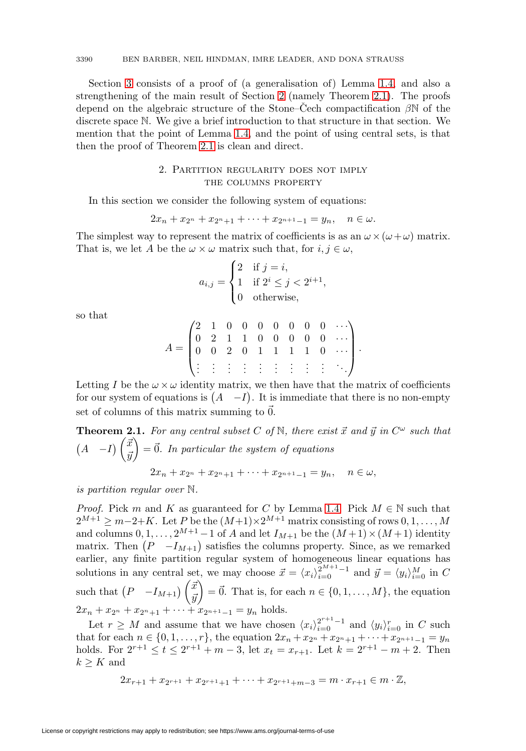Section [3](#page-7-0) consists of a proof of (a generalisation of) Lemma [1.4,](#page-2-0) and also a strengthening of the main result of Section [2](#page-3-0) (namely Theorem [2.1\)](#page-3-1). The proofs depend on the algebraic structure of the Stone–Cech compactification  $\beta N$  of the discrete space N. We give a brief introduction to that structure in that section. We mention that the point of Lemma [1.4,](#page-2-0) and the point of using central sets, is that then the proof of Theorem [2.1](#page-3-1) is clean and direct.

## 2. Partition regularity does not imply the columns property

<span id="page-3-0"></span>In this section we consider the following system of equations:

$$
2x_n + x_{2^n} + x_{2^n+1} + \cdots + x_{2^{n+1}-1} = y_n, \quad n \in \omega.
$$

The simplest way to represent the matrix of coefficients is as an  $\omega \times (\omega + \omega)$  matrix. That is, we let A be the  $\omega \times \omega$  matrix such that, for  $i, j \in \omega$ ,

$$
a_{i,j} = \begin{cases} 2 & \text{if } j = i, \\ 1 & \text{if } 2^i \le j < 2^{i+1}, \\ 0 & \text{otherwise,} \end{cases}
$$

so that

$$
A = \begin{pmatrix} 2 & 1 & 0 & 0 & 0 & 0 & 0 & 0 & 0 & \cdots \\ 0 & 2 & 1 & 1 & 0 & 0 & 0 & 0 & 0 & \cdots \\ 0 & 0 & 2 & 0 & 1 & 1 & 1 & 1 & 0 & \cdots \\ \vdots & \vdots & \vdots & \vdots & \vdots & \vdots & \vdots & \vdots & \ddots \end{pmatrix}.
$$

Letting I be the  $\omega \times \omega$  identity matrix, we then have that the matrix of coefficients for our system of equations is  $(A - I)$ . It is immediate that there is no non-empty set of columns of this matrix summing to  $\vec{0}$ .

<span id="page-3-1"></span>**Theorem 2.1.** For any central subset C of N, there exist 
$$
\vec{x}
$$
 and  $\vec{y}$  in  $C^{\omega}$  such that  
\n
$$
(A -I) \begin{pmatrix} \vec{x} \\ \vec{y} \end{pmatrix} = \vec{0}.
$$
 In particular the system of equations  
\n
$$
2x_n + x_{2^n} + x_{2^n+1} + \cdots + x_{2^{n+1}-1} = y_n, \quad n \in \omega,
$$

is partition regular over N.

*Proof.* Pick m and K as guaranteed for C by Lemma [1.4.](#page-2-0) Pick  $M \in \mathbb{N}$  such that  $2^{M+1} \geq m-2+K$ . Let P be the  $(M+1)\times 2^{M+1}$  matrix consisting of rows  $0, 1, ..., M$ and columns  $0, 1, \ldots, 2^{M+1} - 1$  of A and let  $I_{M+1}$  be the  $(M+1) \times (M+1)$  identity matrix. Then  $(P - I_{M+1})$  satisfies the columns property. Since, as we remarked earlier, any finite partition regular system of homogeneous linear equations has solutions in any central set, we may choose  $\vec{x} = \langle x_i \rangle_{i=0}^{2^{M+1}-1}$  and  $\vec{y} = \langle y_i \rangle_{i=0}^{M}$  in C such that  $\left(P - I_{M+1}\right) \begin{pmatrix} \vec{x} & \vec{y} & \vec{y} \\ \vec{y} & \vec{y} & \vec{y} \end{pmatrix}$  $\bar{y}$  $\mathcal{O}(\epsilon) = \vec{0}$ . That is, for each  $n \in \{0, 1, \ldots, M\}$ , the equation  $2x_n + x_{2^n} + x_{2^{n+1}} + \cdots + x_{2^{n+1}-1} = y_n$  holds.

Let  $r \geq M$  and assume that we have chosen  $\langle x_i \rangle_{i=0}^{2^{r+1}-1}$  and  $\langle y_i \rangle_{i=0}^r$  in C such that for each  $n \in \{0, 1, \ldots, r\}$ , the equation  $2x_n + x_{2^n} + x_{2^n+1} + \cdots + x_{2^{n+1}-1} = y_n$ holds. For  $2^{r+1} \le t \le 2^{r+1} + m - 3$ , let  $x_t = x_{r+1}$ . Let  $k = 2^{r+1} - m + 2$ . Then  $k > K$  and

$$
2x_{r+1} + x_{2r+1} + x_{2r+1+1} + \cdots + x_{2r+1+m-3} = m \cdot x_{r+1} \in m \cdot \mathbb{Z},
$$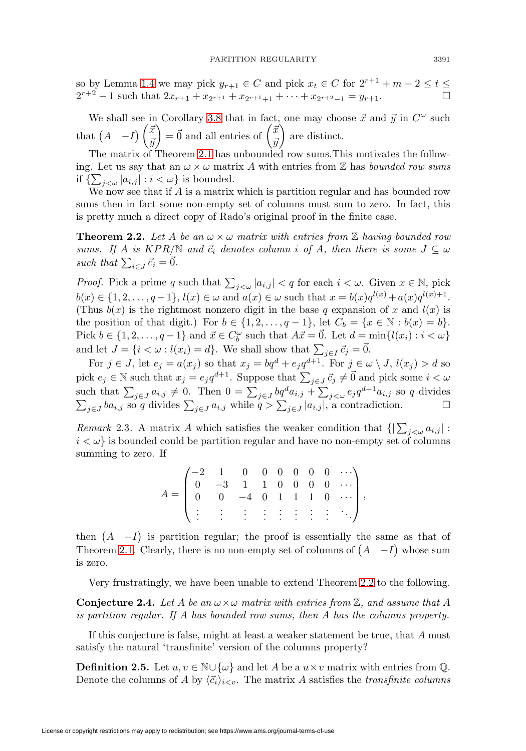so by Lemma [1.4](#page-2-0) we may pick  $y_{r+1} \in C$  and pick  $x_t \in C$  for  $2^{r+1} + m - 2 \le t \le$  $2^{r+2} - 1$  such that  $2x_{r+1} + x_{2^{r+1}} + x_{2^{r+1}+1} + \cdots + x_{2^{r+2}-1} = y_{r+1}$ .

We shall see in Corollary [3.8](#page-10-0) that in fact, one may choose  $\vec{x}$  and  $\vec{y}$  in  $C^{\omega}$  such that  $(A - I) \begin{pmatrix} \vec{x} \\ \vec{x} \end{pmatrix}$  $\bar{y}$  $\vec{a}$  =  $\vec{0}$  and all entries of  $\begin{pmatrix} \vec{x} \\ \vec{x} \end{pmatrix}$  $\bar{y}$ are distinct.

The matrix of Theorem [2.1](#page-3-1) has unbounded row sums.This motivates the following. Let us say that an  $\omega \times \omega$  matrix A with entries from Z has *bounded row sums* if  $\{\sum_{j<\omega} |a_{i,j}| : i < \omega\}$  is bounded.

We now see that if  $A$  is a matrix which is partition regular and has bounded row sums then in fact some non-empty set of columns must sum to zero. In fact, this is pretty much a direct copy of Rado's original proof in the finite case.

<span id="page-4-0"></span>**Theorem 2.2.** Let A be an  $\omega \times \omega$  matrix with entries from Z having bounded row sums. If A is  $KPR/\mathbb{N}$  and  $\vec{c}_i$  denotes column i of A, then there is some  $J \subseteq \omega$ such that  $\sum_{i \in J} \vec{c}_i = \vec{0}$ .

*Proof.* Pick a prime q such that  $\sum_{j<\omega} |a_{i,j}| < q$  for each  $i<\omega$ . Given  $x \in \mathbb{N}$ , pick  $b(x) \in \{1, 2, ..., q-1\}, l(x) \in \omega \text{ and } a(x) \in \omega \text{ such that } x = b(x)q^{l(x)} + a(x)q^{l(x)+1}.$ (Thus  $b(x)$  is the rightmost nonzero digit in the base q expansion of x and  $l(x)$  is the position of that digit.) For  $b \in \{1, 2, \ldots, q-1\}$ , let  $C_b = \{x \in \mathbb{N} : b(x) = b\}$ . Pick  $b \in \{1, 2, ..., q-1\}$  and  $\vec{x} \in C_b^{\omega}$  such that  $A\vec{x} = \vec{0}$ . Let  $d = \min\{l(x_i) : i < \omega\}$ and let  $J = \{i < \omega : l(x_i) = d\}$ . We shall show that  $\sum_{j \in I} \vec{c}_j = \vec{0}$ .

For  $j \in J$ , let  $e_j = a(x_j)$  so that  $x_j = bq^d + e_j q^{d+1}$ . For  $j \in \omega \setminus J$ ,  $l(x_j) > d$  so pick  $e_j \in \mathbb{N}$  such that  $x_j = e_j q^{d+1}$ . Suppose that  $\sum_{j \in J} \vec{c}_j \neq \vec{0}$  and pick some  $i < \omega$ such that  $\sum_{j\in J} a_{i,j} \neq 0$ . Then  $0 = \sum_{j\in J} bq^d a_{i,j} + \sum_{j<\omega} e_j q^{d+1} a_{i,j}$  so q divides  $\sum_{j\in J} ba_{i,j}$  so q divides  $\sum_{j\in J} a_{i,j}$  while  $q > \sum_{j\in J} |a_{i,j}|$ , a contradiction.  $\Box$ 

Remark 2.3. A matrix A which satisfies the weaker condition that  $\{|\sum_{j<\omega} a_{i,j}|:\}$  $i < \omega$  is bounded could be partition regular and have no non-empty set of columns summing to zero. If

$$
A = \begin{pmatrix} -2 & 1 & 0 & 0 & 0 & 0 & 0 & 0 & \cdots \\ 0 & -3 & 1 & 1 & 0 & 0 & 0 & 0 & \cdots \\ 0 & 0 & -4 & 0 & 1 & 1 & 1 & 0 & \cdots \\ \vdots & \vdots & \vdots & \vdots & \vdots & \vdots & \vdots & \vdots & \ddots \end{pmatrix},
$$

then  $(A - I)$  is partition regular; the proof is essentially the same as that of Theorem [2.1.](#page-3-1) Clearly, there is no non-empty set of columns of  $(A - I)$  whose sum is zero.

Very frustratingly, we have been unable to extend Theorem [2.2](#page-4-0) to the following.

<span id="page-4-1"></span>**Conjecture 2.4.** Let A be an  $\omega \times \omega$  matrix with entries from  $\mathbb{Z}$ , and assume that A is partition regular. If A has bounded row sums, then A has the columns property.

If this conjecture is false, might at least a weaker statement be true, that A must satisfy the natural 'transfinite' version of the columns property?

**Definition 2.5.** Let  $u, v \in \mathbb{N} \cup \{\omega\}$  and let A be a  $u \times v$  matrix with entries from  $\mathbb{Q}$ . Denote the columns of A by  $\langle \vec{c}_i \rangle_{i \leq v}$ . The matrix A satisfies the *transfinite columns*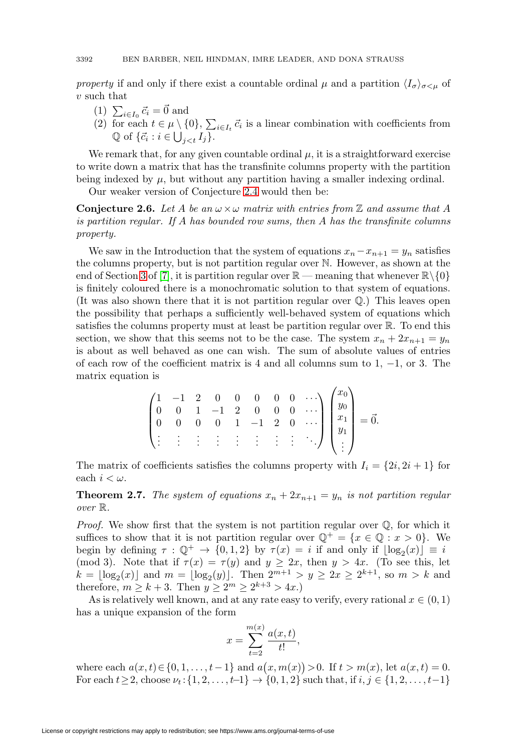property if and only if there exist a countable ordinal  $\mu$  and a partition  $\langle I_{\sigma}\rangle_{\sigma\leq\mu}$  of  $v$  such that

- (1)  $\sum_{i\in I_0} \vec{c}_i = \vec{0}$  and
- (2) for each  $t \in \mu \setminus \{0\}$ ,  $\sum_{i \in I_t} \vec{c}_i$  is a linear combination with coefficients from  $\mathbb{Q}$  of  $\{\vec{c}_i : i \in \bigcup_{j \leq t} I_j\}.$

We remark that, for any given countable ordinal  $\mu$ , it is a straightforward exercise to write down a matrix that has the transfinite columns property with the partition being indexed by  $\mu$ , but without any partition having a smaller indexing ordinal.

Our weaker version of Conjecture [2.4](#page-4-1) would then be:

**Conjecture 2.6.** Let A be an  $\omega \times \omega$  matrix with entries from Z and assume that A is partition regular. If A has bounded row sums, then A has the transfinite columns property.

We saw in the Introduction that the system of equations  $x_n - x_{n+1} = y_n$  satisfies the columns property, but is not partition regular over N. However, as shown at the end of Section [3](#page-7-0) of [\[7\]](#page-12-7), it is partition regular over  $\mathbb{R}$  — meaning that whenever  $\mathbb{R}\setminus\{0\}$ is finitely coloured there is a monochromatic solution to that system of equations. (It was also shown there that it is not partition regular over Q.) This leaves open the possibility that perhaps a sufficiently well-behaved system of equations which satisfies the columns property must at least be partition regular over R. To end this section, we show that this seems not to be the case. The system  $x_n + 2x_{n+1} = y_n$ is about as well behaved as one can wish. The sum of absolute values of entries of each row of the coefficient matrix is 4 and all columns sum to  $1, -1$ , or 3. The matrix equation is

$$
\begin{pmatrix}\n1 & -1 & 2 & 0 & 0 & 0 & 0 & 0 & \cdots \\
0 & 0 & 1 & -1 & 2 & 0 & 0 & 0 & \cdots \\
0 & 0 & 0 & 0 & 1 & -1 & 2 & 0 & \cdots \\
\vdots & \vdots & \vdots & \vdots & \vdots & \vdots & \vdots & \vdots & \ddots\n\end{pmatrix}\n\begin{pmatrix}\nx_0 \\
y_0 \\
x_1 \\
y_1 \\
\vdots \\
\vdots\n\end{pmatrix} = \vec{0}.
$$

The matrix of coefficients satisfies the columns property with  $I_i = \{2i, 2i + 1\}$  for each  $i < \omega$ .

**Theorem 2.7.** The system of equations  $x_n + 2x_{n+1} = y_n$  is not partition regular over R.

*Proof.* We show first that the system is not partition regular over  $\mathbb{O}$ , for which it suffices to show that it is not partition regular over  $\mathbb{Q}^+ = \{x \in \mathbb{Q} : x > 0\}$ . We begin by defining  $\tau : \mathbb{Q}^+ \to \{0,1,2\}$  by  $\tau(x) = i$  if and only if  $\lfloor \log_2(x) \rfloor \equiv i$ (mod 3). Note that if  $\tau(x) = \tau(y)$  and  $y \ge 2x$ , then  $y > 4x$ . (To see this, let  $k = \lfloor \log_2(x) \rfloor$  and  $m = \lfloor \log_2(y) \rfloor$ . Then  $2^{m+1} > y \ge 2x \ge 2^{k+1}$ , so  $m > k$  and therefore,  $m \geq k+3$ . Then  $y \geq 2^m \geq 2^{k+3} > 4x$ .)

As is relatively well known, and at any rate easy to verify, every rational  $x \in (0,1)$ has a unique expansion of the form

$$
x = \sum_{t=2}^{m(x)} \frac{a(x, t)}{t!},
$$

where each  $a(x,t) \in \{0,1,\ldots,t-1\}$  and  $a(x,m(x)) > 0$ . If  $t > m(x)$ , let  $a(x,t) = 0$ . For each  $t \ge 2$ , choose  $\nu_t : \{1, 2, ..., t-1\} \to \{0, 1, 2\}$  such that, if  $i, j \in \{1, 2, ..., t-1\}$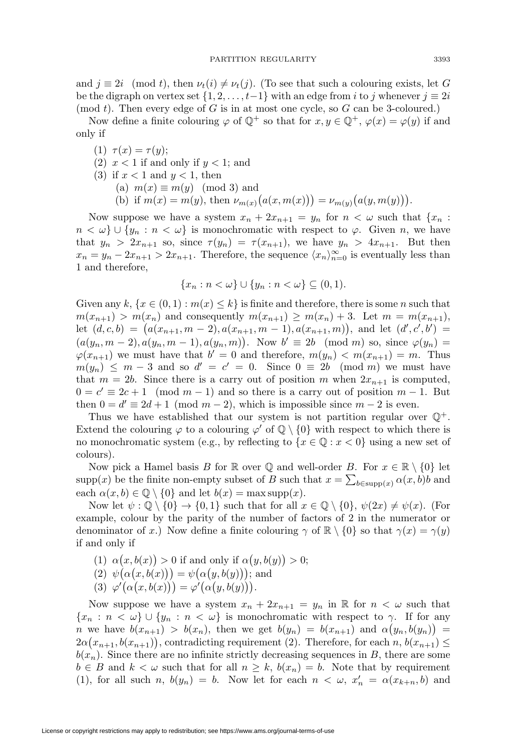and  $j \equiv 2i \pmod{t}$ , then  $\nu_t(i) \neq \nu_t(j)$ . (To see that such a colouring exists, let G be the digraph on vertex set  $\{1, 2, \ldots, t-1\}$  with an edge from i to j whenever  $j \equiv 2i$ (mod t). Then every edge of G is in at most one cycle, so  $G$  can be 3-coloured.)

Now define a finite colouring  $\varphi$  of  $\mathbb{Q}^+$  so that for  $x, y \in \mathbb{Q}^+$ ,  $\varphi(x) = \varphi(y)$  if and only if

- (1)  $\tau(x) = \tau(y);$
- (2)  $x < 1$  if and only if  $y < 1$ ; and
- (3) if  $x < 1$  and  $y < 1$ , then
	- (a)  $m(x) \equiv m(y) \pmod{3}$  and
	- (b) if  $m(x) = m(y)$ , then  $\nu_{m(x)}(a(x, m(x))) = \nu_{m(y)}(a(y, m(y))).$

Now suppose we have a system  $x_n + 2x_{n+1} = y_n$  for  $n < \omega$  such that  $\{x_n :$  $n < \omega$ }  $\cup$  {y<sub>n</sub> :  $n < \omega$ } is monochromatic with respect to  $\varphi$ . Given n, we have that  $y_n > 2x_{n+1}$  so, since  $\tau(y_n) = \tau(x_{n+1})$ , we have  $y_n > 4x_{n+1}$ . But then  $x_n = y_n - 2x_{n+1} > 2x_{n+1}$ . Therefore, the sequence  $\langle x_n \rangle_{n=0}^{\infty}$  is eventually less than 1 and therefore,

$$
\{x_n : n < \omega\} \cup \{y_n : n < \omega\} \subseteq (0,1).
$$

Given any  $k, \{x \in (0,1) : m(x) \leq k\}$  is finite and therefore, there is some n such that  $m(x_{n+1}) > m(x_n)$  and consequently  $m(x_{n+1}) \geq m(x_n) + 3$ . Let  $m = m(x_{n+1}),$ let  $(d, c, b) = (a(x_{n+1}, m-2), a(x_{n+1}, m-1), a(x_{n+1}, m)),$  and let  $(d', c', b') =$  $(a(y_n, m-2), a(y_n, m-1), a(y_n, m))$ . Now  $b' \equiv 2b \pmod{m}$  so, since  $\varphi(y_n) =$  $\varphi(x_{n+1})$  we must have that  $b' = 0$  and therefore,  $m(y_n) < m(x_{n+1}) = m$ . Thus  $m(y_n) \leq m-3$  and so  $d' = c' = 0$ . Since  $0 \equiv 2b \pmod{m}$  we must have that  $m = 2b$ . Since there is a carry out of position m when  $2x_{n+1}$  is computed,  $0 = c' \equiv 2c + 1 \pmod{m-1}$  and so there is a carry out of position  $m-1$ . But then  $0 = d' \equiv 2d + 1 \pmod{m-2}$ , which is impossible since  $m - 2$  is even.

Thus we have established that our system is not partition regular over  $\mathbb{Q}^+$ . Extend the colouring  $\varphi$  to a colouring  $\varphi'$  of  $\mathbb{Q} \setminus \{0\}$  with respect to which there is no monochromatic system (e.g., by reflecting to  $\{x \in \mathbb{Q} : x < 0\}$  using a new set of colours).

Now pick a Hamel basis B for R over Q and well-order B. For  $x \in \mathbb{R} \setminus \{0\}$  let supp(x) be the finite non-empty subset of B such that  $x = \sum_{b \in \text{supp}(x)} \alpha(x, b)b$  and each  $\alpha(x, b) \in \mathbb{Q} \setminus \{0\}$  and let  $b(x) = \max \text{supp}(x)$ .

Now let  $\psi : \mathbb{Q} \setminus \{0\} \to \{0, 1\}$  such that for all  $x \in \mathbb{Q} \setminus \{0\}$ ,  $\psi(2x) \neq \psi(x)$ . (For example, colour by the parity of the number of factors of 2 in the numerator or denominator of x.) Now define a finite colouring  $\gamma$  of  $\mathbb{R} \setminus \{0\}$  so that  $\gamma(x) = \gamma(y)$ if and only if

- (1)  $\alpha(x, b(x)) > 0$  if and only if  $\alpha(y, b(y)) > 0$ ;  $(2) \psi(\alpha(x,b(x))) = \psi(\alpha(y,b(y))),$  and
- (3)  $\varphi'(\alpha(x,b(x))) = \varphi'(\alpha(y,b(y))).$

Now suppose we have a system  $x_n + 2x_{n+1} = y_n$  in  $\mathbb R$  for  $n < \omega$  such that  ${x_n : n < \omega} \cup {y_n : n < \omega}$  is monochromatic with respect to  $\gamma$ . If for any n we have  $b(x_{n+1}) > b(x_n)$ , then we get  $b(y_n) = b(x_{n+1})$  and  $\alpha(y_n, b(y_n)) =$  $2\alpha(x_{n+1}, b(x_{n+1}))$ , contradicting requirement (2). Therefore, for each  $n, b(x_{n+1}) \leq$  $b(x_n)$ . Since there are no infinite strictly decreasing sequences in B, there are some  $b \in B$  and  $k < \omega$  such that for all  $n \geq k$ ,  $b(x_n) = b$ . Note that by requirement (1), for all such n,  $b(y_n) = b$ . Now let for each  $n < \omega$ ,  $x'_n = \alpha(x_{k+n}, b)$  and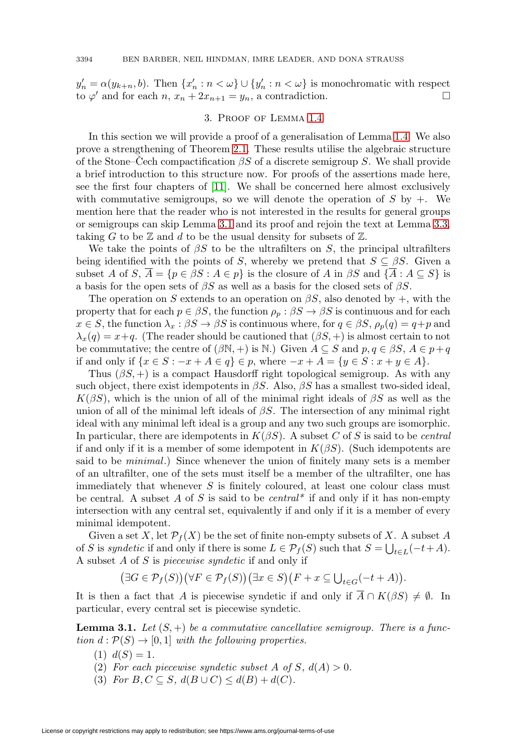<span id="page-7-0"></span> $y'_n = \alpha(y_{k+n}, b)$ . Then  $\{x'_n : n < \omega\} \cup \{y'_n : n < \omega\}$  is monochromatic with respect to  $\varphi'$  and for each  $n, x_n + 2x_{n+1} = y_n$ , a contradiction.

## 3. Proof of Lemma [1.4](#page-2-0)

In this section we will provide a proof of a generalisation of Lemma [1.4.](#page-2-0) We also prove a strengthening of Theorem [2.1.](#page-3-1) These results utilise the algebraic structure of the Stone–Cech compactification  $\beta S$  of a discrete semigroup S. We shall provide a brief introduction to this structure now. For proofs of the assertions made here, see the first four chapters of [\[11\]](#page-12-9). We shall be concerned here almost exclusively with commutative semigroups, so we will denote the operation of  $S$  by  $+$ . We mention here that the reader who is not interested in the results for general groups or semigroups can skip Lemma [3.1](#page-7-1) and its proof and rejoin the text at Lemma [3.3,](#page-9-0) taking G to be  $\mathbb Z$  and d to be the usual density for subsets of  $\mathbb Z$ .

We take the points of  $\beta S$  to be the ultrafilters on S, the principal ultrafilters being identified with the points of S, whereby we pretend that  $S \subseteq \beta S$ . Given a subset A of S,  $\overline{A} = \{p \in \beta S : A \in p\}$  is the closure of A in  $\beta S$  and  $\{\overline{A} : A \subseteq S\}$  is a basis for the open sets of  $\beta S$  as well as a basis for the closed sets of  $\beta S$ .

The operation on S extends to an operation on  $\beta S$ , also denoted by +, with the property that for each  $p \in \beta S$ , the function  $\rho_p : \beta S \to \beta S$  is continuous and for each  $x \in S$ , the function  $\lambda_x : \beta S \to \beta S$  is continuous where, for  $q \in \beta S$ ,  $\rho_p(q) = q + p$  and  $\lambda_x(q) = x+q$ . (The reader should be cautioned that  $(\beta S, +)$  is almost certain to not be commutative; the centre of  $(\beta N, +)$  is N.) Given  $A \subseteq S$  and  $p, q \in \beta S$ ,  $A \in p+q$ if and only if  $\{x \in S : -x + A \in q\}$  ∈ p, where  $-x + A = \{y \in S : x + y \in A\}$ .

Thus  $(\beta S, +)$  is a compact Hausdorff right topological semigroup. As with any such object, there exist idempotents in  $\beta S$ . Also,  $\beta S$  has a smallest two-sided ideal,  $K(\beta S)$ , which is the union of all of the minimal right ideals of  $\beta S$  as well as the union of all of the minimal left ideals of  $\beta S$ . The intersection of any minimal right ideal with any minimal left ideal is a group and any two such groups are isomorphic. In particular, there are idempotents in  $K(\beta S)$ . A subset C of S is said to be *central* if and only if it is a member of some idempotent in  $K(\beta S)$ . (Such idempotents are said to be minimal.) Since whenever the union of finitely many sets is a member of an ultrafilter, one of the sets must itself be a member of the ultrafilter, one has immediately that whenever S is finitely coloured, at least one colour class must be central. A subset A of S is said to be *central*<sup>\*</sup> if and only if it has non-empty intersection with any central set, equivalently if and only if it is a member of every minimal idempotent.

Given a set X, let  $\mathcal{P}_f(X)$  be the set of finite non-empty subsets of X. A subset A of S is syndetic if and only if there is some  $L \in \mathcal{P}_f(S)$  such that  $S = \bigcup_{t \in L} (-t + A)$ . A subset A of S is piecewise syndetic if and only if

$$
(\exists G \in \mathcal{P}_f(S))(\forall F \in \mathcal{P}_f(S))(\exists x \in S)(F + x \subseteq \bigcup_{t \in G}(-t + A)).
$$

It is then a fact that A is piecewise syndetic if and only if  $A \cap K(\beta S) \neq \emptyset$ . In particular, every central set is piecewise syndetic.

<span id="page-7-1"></span>**Lemma 3.1.** Let  $(S,+)$  be a commutative cancellative semigroup. There is a function  $d : \mathcal{P}(S) \to [0,1]$  with the following properties.

- (1)  $d(S)=1$ .
- (2) For each piecewise syndetic subset A of S,  $d(A) > 0$ .
- (3) For  $B, C \subseteq S$ ,  $d(B \cup C) \leq d(B) + d(C)$ .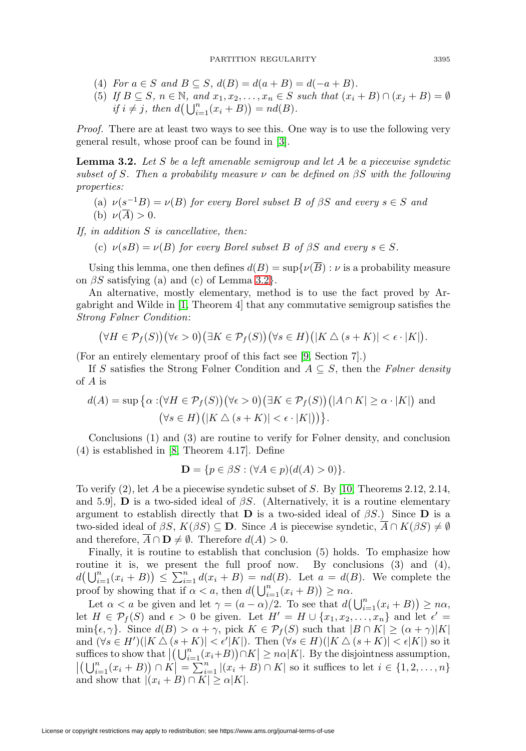- (4) For  $a \in S$  and  $B \subseteq S$ ,  $d(B) = d(a + B) = d(-a + B)$ .
- (5) If  $B \subseteq S$ ,  $n \in \mathbb{N}$ , and  $x_1, x_2, \ldots, x_n \in S$  such that  $(x_i + B) \cap (x_i + B) = \emptyset$ if  $i \neq j$ , then  $d\left(\bigcup_{i=1}^{n}(x_i+B)\right)=nd(B)$ .

Proof. There are at least two ways to see this. One way is to use the following very general result, whose proof can be found in [\[3\]](#page-11-1).

<span id="page-8-0"></span>**Lemma 3.2.** Let S be a left amenable semigroup and let A be a piecewise syndetic subset of S. Then a probability measure  $\nu$  can be defined on  $\beta S$  with the following properties:

(a)  $\nu(s^{-1}B) = \nu(B)$  for every Borel subset B of βS and every  $s \in S$  and (b)  $\nu(\overline{A}) > 0$ .

If, in addition S is cancellative, then:

(c)  $\nu(sB) = \nu(B)$  for every Borel subset B of  $\beta S$  and every  $s \in S$ .

Using this lemma, one then defines  $d(B) = \sup \{ \nu(\overline{B}) : \nu \text{ is a probability measure} \}$ on  $\beta S$  satisfying (a) and (c) of Lemma [3.2](#page-8-0).

An alternative, mostly elementary, method is to use the fact proved by Argabright and Wilde in [\[1,](#page-11-2) Theorem 4] that any commutative semigroup satisfies the Strong Følner Condition:

$$
(\forall H \in \mathcal{P}_f(S)) (\forall \epsilon > 0) (\exists K \in \mathcal{P}_f(S)) (\forall s \in H) (|K \triangle (s + K)| < \epsilon \cdot |K|).
$$

(For an entirely elementary proof of this fact see [\[9,](#page-12-10) Section 7].)

If S satisfies the Strong Følner Condition and  $A \subseteq S$ , then the Følner density of A is

$$
d(A) = \sup \{ \alpha : (\forall H \in \mathcal{P}_f(S)) (\forall \epsilon > 0) (\exists K \in \mathcal{P}_f(S)) (|A \cap K| \ge \alpha \cdot |K|) \text{ and } (\forall s \in H) (|K \triangle (s + K)| < \epsilon \cdot |K|) \}.
$$

Conclusions (1) and (3) are routine to verify for Følner density, and conclusion (4) is established in [\[8,](#page-12-11) Theorem 4.17]. Define

$$
\mathbf{D} = \{ p \in \beta S : (\forall A \in p)(d(A) > 0) \}.
$$

To verify (2), let A be a piecewise syndetic subset of S. By [\[10,](#page-12-12) Theorems 2.12, 2.14, and 5.9], **D** is a two-sided ideal of  $\beta S$ . (Alternatively, it is a routine elementary argument to establish directly that **D** is a two-sided ideal of  $\beta S$ .) Since **D** is a two-sided ideal of  $\beta S$ ,  $K(\beta S) \subseteq \mathbf{D}$ . Since A is piecewise syndetic,  $\overline{A} \cap K(\beta S) \neq \emptyset$ and therefore,  $A \cap \mathbf{D} \neq \emptyset$ . Therefore  $d(A) > 0$ .

Finally, it is routine to establish that conclusion (5) holds. To emphasize how routine it is, we present the full proof now. By conclusions (3) and (4),  $d\left(\bigcup_{i=1}^n(x_i+B)\right) \leq \sum_{i=1}^n d(x_i+B) = nd(B)$ . Let  $a = d(B)$ . We complete the proof by showing that if  $\alpha < a$ , then  $d\left(\bigcup_{i=1}^n (x_i + B)\right) \geq n\alpha$ .

Let  $\alpha < a$  be given and let  $\gamma = (a - \alpha)/2$ . To see that  $d(\bigcup_{i=1}^{n} (x_i + B)) \geq n\alpha$ , let  $H \in \mathcal{P}_f(S)$  and  $\epsilon > 0$  be given. Let  $H' = H \cup \{x_1, x_2, \ldots, x_n\}$  and let  $\epsilon' =$  $\min{\{\epsilon, \gamma\}}$ . Since  $d(B) > \alpha + \gamma$ , pick  $K \in \mathcal{P}_f(S)$  such that  $|B \cap K| \geq (\alpha + \gamma)|K|$ and  $(\forall s \in H')(|K \triangle (s + K)| < \epsilon' |K|)$ . Then  $(\forall s \in H)(|K \triangle (s + K)| < \epsilon |K|)$  so it suffices to show that  $\left| \left( \bigcup_{i=1}^n (x_i+B) \right) \cap K \right|$ suffices to show that  $|(\bigcup_{i=1}^n (x_i+B)) \cap K| \ge n\alpha |K|$ . By the disjointness assumption,<br> $|(\bigcup_{i=1}^n (x_i+B)) \cap K| = \sum_{i=1}^n |(x_i+B) \cap K|$  so it suffices to let  $i \in \{1,2,\ldots,n\}$ and show that  $|(x_i + B) \cap K| \ge \alpha |K|$ .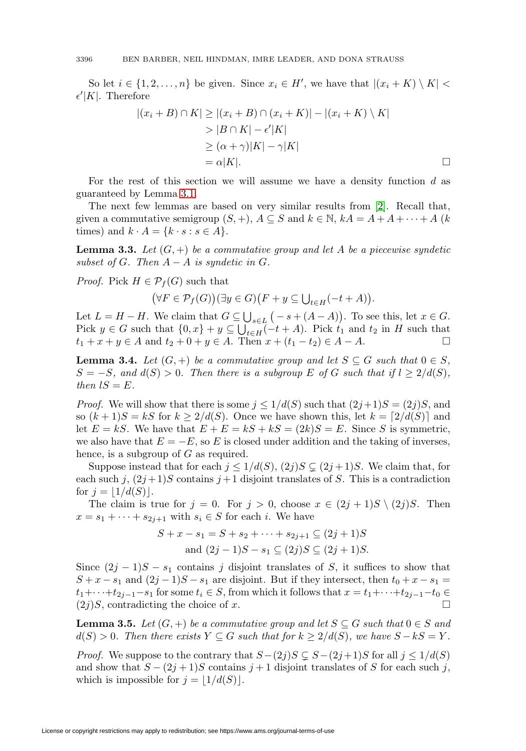So let  $i \in \{1, 2, \ldots, n\}$  be given. Since  $x_i \in H'$ , we have that  $|(x_i + K) \setminus K|$  $\epsilon'|K|$ . Therefore

$$
|(x_i + B) \cap K| \ge |(x_i + B) \cap (x_i + K)| - |(x_i + K) \setminus K|
$$
  
> |B \cap K| - \epsilon'|K|  

$$
\ge (\alpha + \gamma)|K| - \gamma|K|
$$
  
= \alpha|K|.

 $\Box$ 

For the rest of this section we will assume we have a density function d as guaranteed by Lemma [3.1.](#page-7-1)

The next few lemmas are based on very similar results from [\[2\]](#page-11-0). Recall that, given a commutative semigroup  $(S, +)$ ,  $A \subseteq S$  and  $k \in \mathbb{N}$ ,  $kA = A + A + \cdots + A$   $(k$ times) and  $k \cdot A = \{k \cdot s : s \in A\}.$ 

<span id="page-9-0"></span>**Lemma 3.3.** Let  $(G, +)$  be a commutative group and let A be a piecewise syndetic subset of G. Then  $A - A$  is syndetic in G.

*Proof.* Pick  $H \in \mathcal{P}_f(G)$  such that

$$
(\forall F \in \mathcal{P}_f(G)) (\exists y \in G) (F + y \subseteq \bigcup_{t \in H} (-t + A)).
$$

Let  $L = H - H$ . We claim that  $G \subseteq \bigcup_{s \in L} (-s + (A - A))$ . To see this, let  $x \in G$ . Pick  $y \in G$  such that  $\{0, x\} + y \subseteq \bigcup_{t \in H} (-t + A)$ . Pick  $t_1$  and  $t_2$  in H such that  $t_1 + x + y \in A$  and  $t_2 + 0 + y \in A$ . Then  $x + (t_1 - t_2) \in A - A$ .

<span id="page-9-2"></span>**Lemma 3.4.** Let  $(G, +)$  be a commutative group and let  $S \subseteq G$  such that  $0 \in S$ ,  $S = -S$ , and  $d(S) > 0$ . Then there is a subgroup E of G such that if  $l \geq 2/d(S)$ , then  $lS = E$ .

*Proof.* We will show that there is some  $j \leq 1/d(S)$  such that  $(2j+1)S = (2j)S$ , and so  $(k+1)S = kS$  for  $k \geq 2/d(S)$ . Once we have shown this, let  $k = \lfloor 2/d(S) \rfloor$  and let  $E = kS$ . We have that  $E + E = kS + kS = (2k)S = E$ . Since S is symmetric, we also have that  $E = -E$ , so E is closed under addition and the taking of inverses, hence, is a subgroup of G as required.

Suppose instead that for each  $j \leq 1/d(S), (2j)S \subsetneq (2j+1)S$ . We claim that, for each such j,  $(2j+1)S$  contains  $j+1$  disjoint translates of S. This is a contradiction for  $j = |1/d(S)|$ .

The claim is true for  $j = 0$ . For  $j > 0$ , choose  $x \in (2j + 1)S \setminus (2j)S$ . Then  $x = s_1 + \cdots + s_{2j+1}$  with  $s_i \in S$  for each i. We have

$$
S + x - s_1 = S + s_2 + \dots + s_{2j+1} \subseteq (2j+1)S
$$
  
and  $(2j-1)S - s_1 \subseteq (2j)S \subseteq (2j+1)S$ .

Since  $(2j - 1)S - s_1$  contains j disjoint translates of S, it suffices to show that  $S + x - s_1$  and  $(2j - 1)S - s_1$  are disjoint. But if they intersect, then  $t_0 + x - s_1 =$  $t_1+\cdots+t_{2j-1}-s_1$  for some  $t_i \in S$ , from which it follows that  $x = t_1+\cdots+t_{2j-1}-t_0 \in (2i)S$  contradicting the choice of  $x$  $(2j)S$ , contradicting the choice of x.

<span id="page-9-1"></span>**Lemma 3.5.** Let  $(G, +)$  be a commutative group and let  $S \subseteq G$  such that  $0 \in S$  and  $d(S) > 0$ . Then there exists  $Y \subseteq G$  such that for  $k \geq 2/d(S)$ , we have  $S - kS = Y$ .

*Proof.* We suppose to the contrary that  $S-(2j)S \subsetneq S-(2j+1)S$  for all  $j \leq 1/d(S)$ and show that  $S - (2j + 1)S$  contains  $j + 1$  disjoint translates of S for each such j, which is impossible for  $j = |1/d(S)|$ .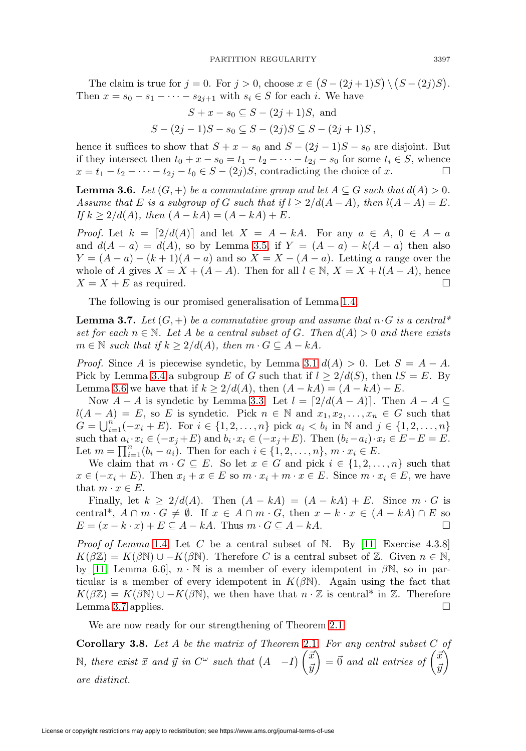The claim is true for  $j = 0$ . For  $j > 0$ , choose  $x \in (S - (2j + 1)S) \setminus (S - (2j)S)$ . Then  $x = s_0 - s_1 - \cdots - s_{2j+1}$  with  $s_i \in S$  for each i. We have

$$
S + x - s_0 \subseteq S - (2j + 1)S, \text{ and}
$$
  

$$
S - (2j - 1)S - s_0 \subseteq S - (2j)S \subseteq S - (2j + 1)S,
$$

hence it suffices to show that  $S + x - s_0$  and  $S - (2j - 1)S - s_0$  are disjoint. But if they intersect then  $t_0 + x - s_0 = t_1 - t_2 - \cdots - t_{2j} - s_0$  for some  $t_i \in S$ , whence  $x = t_1 - t_2 - \cdots - t_{2j} - t_0 \in S - (2j)S$ , contradicting the choice of x.

<span id="page-10-1"></span>**Lemma 3.6.** Let  $(G, +)$  be a commutative group and let  $A \subseteq G$  such that  $d(A) > 0$ . Assume that E is a subgroup of G such that if  $l \geq 2/d(A-A)$ , then  $l(A-A) = E$ . If  $k > 2/d(A)$ , then  $(A - kA) = (A - kA) + E$ .

*Proof.* Let  $k = \lfloor 2/d(A) \rfloor$  and let  $X = A - kA$ . For any  $a \in A$ ,  $0 \in A - a$ and  $d(A - a) = d(A)$ , so by Lemma [3.5,](#page-9-1) if  $Y = (A - a) - k(A - a)$  then also  $Y = (A - a) - (k + 1)(A - a)$  and so  $X = X - (A - a)$ . Letting a range over the whole of A gives  $X = X + (A - A)$ . Then for all  $l \in \mathbb{N}$ ,  $X = X + l(A - A)$ , hence  $X = X + E$  as required.

The following is our promised generalisation of Lemma [1.4.](#page-2-0)

<span id="page-10-2"></span>**Lemma 3.7.** Let  $(G, +)$  be a commutative group and assume that  $n \cdot G$  is a central\* set for each  $n \in \mathbb{N}$ . Let A be a central subset of G. Then  $d(A) > 0$  and there exists  $m \in \mathbb{N}$  such that if  $k \geq 2/d(A)$ , then  $m \cdot G \subseteq A - kA$ .

*Proof.* Since A is piecewise syndetic, by Lemma [3.1](#page-7-1)  $d(A) > 0$ . Let  $S = A - A$ . Pick by Lemma [3.4](#page-9-2) a subgroup E of G such that if  $l \geq 2/d(S)$ , then  $lS = E$ . By Lemma [3.6](#page-10-1) we have that if  $k \geq 2/d(A)$ , then  $(A - kA) = (A - kA) + E$ .

Now  $A - A$  is syndetic by Lemma [3.3.](#page-9-0) Let  $l = \lceil 2/d(A - A) \rceil$ . Then  $A - A \subseteq$  $l(A - A) = E$ , so E is syndetic. Pick  $n \in \mathbb{N}$  and  $x_1, x_2, \ldots, x_n \in G$  such that  $G = \bigcup_{i=1}^{n'} (-x_i + E)$ . For  $i \in \{1, 2, ..., n\}$  pick  $a_i < b_i$  in N and  $j \in \{1, 2, ..., n\}$ such that  $a_i \cdot x_i \in (-x_j + E)$  and  $b_i \cdot x_i \in (-x_j + E)$ . Then  $(b_i - a_i) \cdot x_i \in E - E = E$ . Let  $m = \prod_{i=1}^{n} (b_i - a_i)$ . Then for each  $i \in \{1, 2, ..., n\}, m \cdot x_i \in E$ .

We claim that  $m \cdot G \subseteq E$ . So let  $x \in G$  and pick  $i \in \{1, 2, ..., n\}$  such that  $x \in (-x_i + E)$ . Then  $x_i + x \in E$  so  $m \cdot x_i + m \cdot x \in E$ . Since  $m \cdot x_i \in E$ , we have that  $m \cdot x \in E$ .

Finally, let  $k \geq 2/d(A)$ . Then  $(A - kA) = (A - kA) + E$ . Since  $m \cdot G$  is central\*,  $A \cap m \cdot G \neq \emptyset$ . If  $x \in A \cap m \cdot G$ , then  $x - k \cdot x \in (A - kA) \cap E$  so  $E = (x - k \cdot x) + E \subseteq A - kA$ . Thus  $m \cdot G \subseteq A - kA$ .

*Proof of Lemma* [1.4](#page-2-0). Let  $C$  be a central subset of  $N$ . By [\[11,](#page-12-9) Exercise 4.3.8]  $K(\beta \mathbb{Z}) = K(\beta \mathbb{N}) \cup -K(\beta \mathbb{N})$ . Therefore C is a central subset of Z. Given  $n \in \mathbb{N}$ , by [\[11,](#page-12-9) Lemma 6.6],  $n \cdot \mathbb{N}$  is a member of every idempotent in  $\beta \mathbb{N}$ , so in particular is a member of every idempotent in  $K(\beta N)$ . Again using the fact that  $K(\beta \mathbb{Z}) = K(\beta \mathbb{N}) \cup -K(\beta \mathbb{N}),$  we then have that  $n \cdot \mathbb{Z}$  is central<sup>\*</sup> in  $\mathbb{Z}$ . Therefore Lemma [3.7](#page-10-2) applies.  $\Box$ 

We are now ready for our strengthening of Theorem [2.1.](#page-3-1)

<span id="page-10-0"></span>**Corollary 3.8.** Let A be the matrix of Theorem [2.1](#page-3-1). For any central subset C of N, there exist  $\vec{x}$  and  $\vec{y}$  in  $C^{\omega}$  such that  $(A - I) \begin{pmatrix} \vec{x} \\ \vec{x} \end{pmatrix}$  $\bar{y}$  $\vec{A}$  =  $\vec{0}$  and all entries of  $\begin{pmatrix} \vec{x} \\ \vec{x} \end{pmatrix}$  $\bar{y}$ ) are distinct.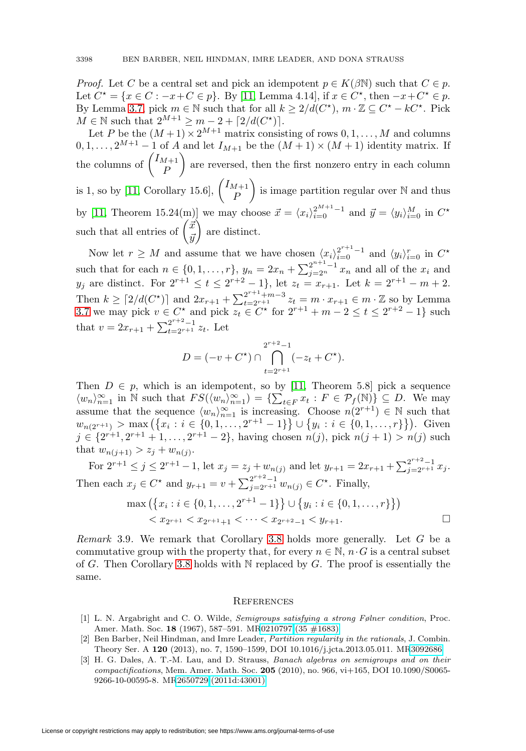*Proof.* Let C be a central set and pick an idempotent  $p \in K(\beta\mathbb{N})$  such that  $C \in p$ . Let  $C^* = \{x \in C : -x + C \in p\}$ . By [\[11,](#page-12-9) Lemma 4.14], if  $x \in C^*$ , then  $-x + C^* \in p$ . By Lemma [3.7,](#page-10-2) pick  $m \in \mathbb{N}$  such that for all  $k \geq 2/d(C^*)$ ,  $m \cdot \mathbb{Z} \subseteq C^* - kC^*$ . Pick  $M \in \mathbb{N}$  such that  $2^{M+1} \geq m - 2 + \lceil 2/d(C^*) \rceil$ .

Let P be the  $(M+1) \times 2^{M+1}$  matrix consisting of rows  $0, 1, \ldots, M$  and columns  $0, 1, \ldots, 2^{M+1} - 1$  of A and let  $I_{M+1}$  be the  $(M+1) \times (M+1)$  identity matrix. If the columns of  $\begin{pmatrix} I_{M+1} \\ D \end{pmatrix}$ P are reversed, then the first nonzero entry in each column is 1, so by [\[11,](#page-12-9) Corollary 15.6],  $\begin{pmatrix} I_{M+1} \\ D \end{pmatrix}$ P is image partition regular over  $\mathbb N$  and thus by [\[11,](#page-12-9) Theorem 15.24(m)] we may choose  $\vec{x} = \langle x_i \rangle_{i=0}^{2^{M+1}-1}$  and  $\vec{y} = \langle y_i \rangle_{i=0}^{M}$  in  $C^*$ such that all entries of  $\begin{pmatrix} \vec{x} \\ \vec{x} \end{pmatrix}$  $\bar{y}$ are distinct.

Now let  $r \geq M$  and assume that we have chosen  $\langle x_i \rangle_{i=0}^{2^{r+1}-1}$  and  $\langle y_i \rangle_{i=0}^r$  in  $C^*$ such that for each  $n \in \{0, 1, ..., r\}$ ,  $y_n = 2x_n + \sum_{j=2^n}^{2^{n+1}-1} x_n$  and all of the  $x_i$  and  $y_j$  are distinct. For  $2^{r+1} \le t \le 2^{r+2} - 1$ , let  $z_t = x_{r+1}$ . Let  $k = 2^{r+1} - m + 2$ . Then  $k \ge [2/d(C^*)]$  and  $2x_{r+1} + \sum_{t=2^{r+1}+m-3}^{2^{r+1}+m-3} z_t = m \cdot x_{r+1} \in m \cdot \mathbb{Z}$  so by Lemma [3.7](#page-10-2) we may pick  $v \in C^*$  and pick  $z_t \in C^*$  for  $2^{r+1} + m - 2 \le t \le 2^{r+2} - 1$  such that  $v = 2x_{r+1} + \sum_{t=2^{r+1}}^{2^{r+2}-1} z_t$ . Let

$$
D = (-v + C^*) \cap \bigcap_{t=2^{r+1}}^{2^{r+2}-1} (-z_t + C^*).
$$

Then  $D \in p$ , which is an idempotent, so by [\[11,](#page-12-9) Theorem 5.8] pick a sequence  $\langle w_n \rangle_{n=1}^{\infty}$  in N such that  $FS(\langle w_n \rangle_{n=1}^{\infty}) = \{ \sum_{t \in F} x_t : F \in \mathcal{P}_f(\mathbb{N}) \} \subseteq D$ . We may assume that the sequence  $\langle w_n \rangle_{n=1}^{\infty}$  is increasing. Choose  $n(2^{r+1}) \in \mathbb{N}$  such that  $w_{n(2^{r+1})} > \max\left(\left\{x_i : i \in \{0,1,\ldots,2^{r+1}-1\}\right\} \cup \left\{y_i : i \in \{0,1,\ldots,r\}\right\}\right)$ . Given  $j \in \{2^{r+1}, 2^{r+1}+1, \ldots, 2^{r+1}-2\}$ , having chosen  $n(j)$ , pick  $n(j + 1) > n(j)$  such that  $w_{n(j+1)} > z_j + w_{n(j)}$ .

For  $2^{r+1} \leq j \leq 2^{r+1}-1$ , let  $x_j = z_j + w_{n(j)}$  and let  $y_{r+1} = 2x_{r+1} + \sum_{j=2^{r+1}}^{2^{r+2}-1} x_j$ . Then each  $x_j \in C^*$  and  $y_{r+1} = v + \sum_{j=2^{r+1}}^{2^{r+2}-1} w_{n(j)} \in C^*$ . Finally,

$$
\max\left(\left\{x_i : i \in \{0, 1, \dots, 2^{r+1} - 1\}\right\} \cup \left\{y_i : i \in \{0, 1, \dots, r\}\right\}\right) < x_{2^{r+1}} < x_{2^{r+1}+1} < \dots < x_{2^{r+2}-1} < y_{r+1}.
$$

Remark 3.9. We remark that Corollary [3.8](#page-10-0) holds more generally. Let G be a commutative group with the property that, for every  $n \in \mathbb{N}$ ,  $n \cdot G$  is a central subset of G. Then Corollary [3.8](#page-10-0) holds with  $N$  replaced by G. The proof is essentially the same.

#### **REFERENCES**

- <span id="page-11-2"></span>[1] L. N. Argabright and C. O. Wilde, Semigroups satisfying a strong Følner condition, Proc. Amer. Math. Soc. **18** (1967), 587–591. M[R0210797 \(35 #1683\)](http://www.ams.org/mathscinet-getitem?mr=0210797)
- <span id="page-11-0"></span>[2] Ben Barber, Neil Hindman, and Imre Leader, Partition regularity in the rationals, J. Combin. Theory Ser. A **120** (2013), no. 7, 1590–1599, DOI 10.1016/j.jcta.2013.05.011. M[R3092686](http://www.ams.org/mathscinet-getitem?mr=3092686)
- <span id="page-11-1"></span>[3] H. G. Dales, A. T.-M. Lau, and D. Strauss, Banach algebras on semigroups and on their compactifications, Mem. Amer. Math. Soc. **205** (2010), no. 966, vi+165, DOI 10.1090/S0065- 9266-10-00595-8. M[R2650729 \(2011d:43001\)](http://www.ams.org/mathscinet-getitem?mr=2650729)